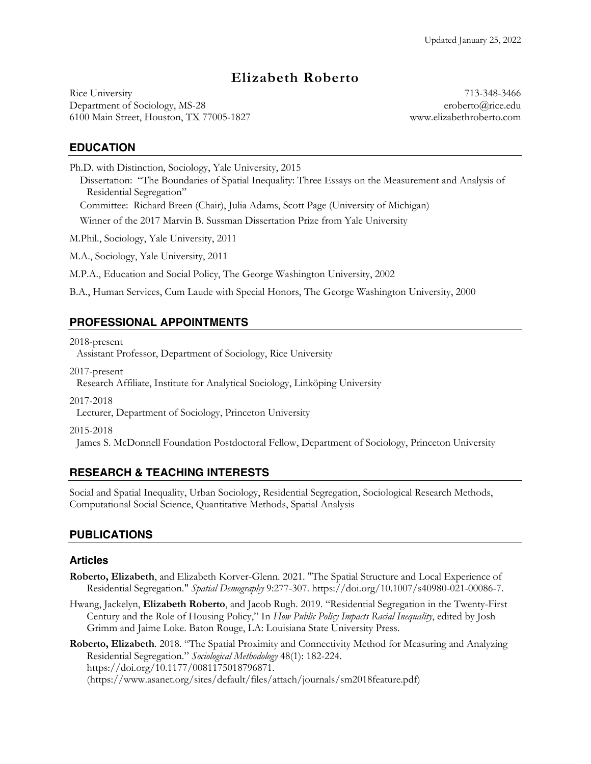# **Elizabeth Roberto**

Department of Sociology, MS-28 eroberto@rice.edu 6100 Main Street, Houston, TX 77005-1827 www.elizabethroberto.com Rice University 713-348-3466

### **EDUCATION**

Ph.D. with Distinction, Sociology, Yale University, 2015

 Dissertation: "The Boundaries of Spatial Inequality: Three Essays on the Measurement and Analysis of Residential Segregation"

Committee: Richard Breen (Chair), Julia Adams, Scott Page (University of Michigan)

Winner of the 2017 Marvin B. Sussman Dissertation Prize from Yale University

M.Phil., Sociology, Yale University, 2011

M.A., Sociology, Yale University, 2011

M.P.A., Education and Social Policy, The George Washington University, 2002

B.A., Human Services, Cum Laude with Special Honors, The George Washington University, 2000

# **PROFESSIONAL APPOINTMENTS**

 Assistant Professor, Department of Sociology, Rice University 2018-present

2017-present

Research Affiliate, Institute for Analytical Sociology, Linköping University

2017-2018

Lecturer, Department of Sociology, Princeton University

2015-2018

James S. McDonnell Foundation Postdoctoral Fellow, Department of Sociology, Princeton University

# **RESEARCH & TEACHING INTERESTS**

 Social and Spatial Inequality, Urban Sociology, Residential Segregation, Sociological Research Methods, Computational Social Science, Quantitative Methods, Spatial Analysis

### **PUBLICATIONS**

### **Articles**

- **Roberto, Elizabeth**, and Elizabeth Korver-Glenn. 2021. "The Spatial Structure and Local Experience of Residential Segregation." *Spatial Demography* 9:277-307. [https://doi.org/10.1007/s40980-021-00086-7.](https://doi.org/10.1007/s40980-021-00086-7)
- Hwang, Jackelyn, **Elizabeth Roberto**, and Jacob Rugh. 2019. "Residential Segregation in the Twenty-First  Century and the Role of Housing Policy," In *How Public Policy Impacts Racial Inequality*, edited by Josh Grimm and Jaime Loke. Baton Rouge, LA: Louisiana State University Press.

 Residential Segregation." *Sociological Methodology* 48(1): 182-224. **Roberto, Elizabeth**. 2018. "The Spatial Proximity and Connectivity Method for Measuring and Analyzing <https://doi.org/10.1177/0081175018796871>. [\(https://www.asanet.org/sites/default/files/attach/journals/sm2018feature.pdf](https://www.asanet.org/sites/default/files/attach/journals/sm2018feature.pdf))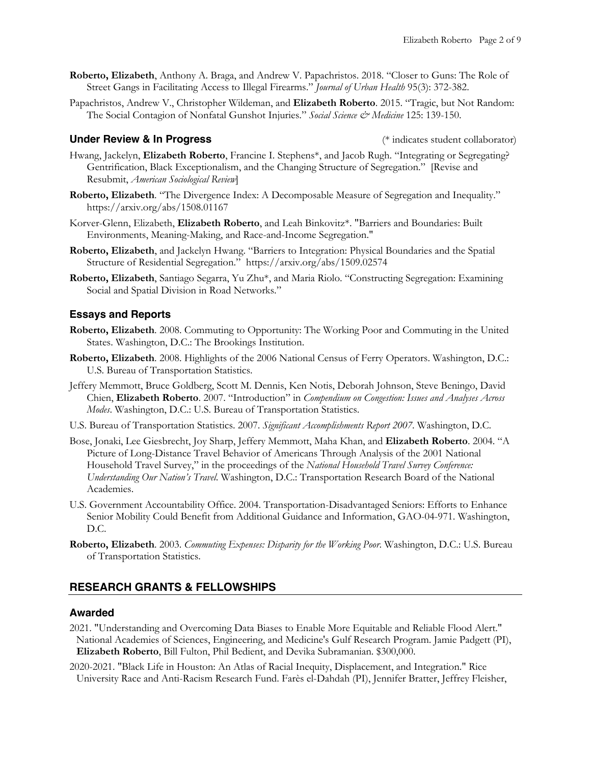- **Roberto, Elizabeth**, Anthony A. Braga, and Andrew V. Papachristos. 2018. "Closer to Guns: The Role of Street Gangs in Facilitating Access to Illegal Firearms." *Journal of Urban Health* 95(3): 372-382.
- Papachristos, Andrew V., Christopher Wildeman, and **Elizabeth Roberto**. 2015. "Tragic, but Not Random: The Social Contagion of Nonfatal Gunshot Injuries." *Social Science & Medicine* 125: 139-150.

#### **Under Review & In Progress** *CONDER (\* indicates student collaborator)*

- Hwang, Jackelyn, **Elizabeth Roberto**, Francine I. Stephens\*, and Jacob Rugh. "Integrating or Segregating? Gentrification, Black Exceptionalism, and the Changing Structure of Segregation." [Revise and  Resubmit, *American Sociological Review*]
- **Roberto, Elizabeth**. "The Divergence Index: A Decomposable Measure of Segregation and Inequality." <https://arxiv.org/abs/1508.01167>
- Korver-Glenn, Elizabeth, **Elizabeth Roberto**, and Leah Binkovitz\*. "Barriers and Boundaries: Built Environments, Meaning-Making, and Race-and-Income Segregation."
- **Roberto, Elizabeth**, and Jackelyn Hwang. "Barriers to Integration: Physical Boundaries and the Spatial Structure of Residential Segregation." <https://arxiv.org/abs/1509.02574>
- **Roberto, Elizabeth**, Santiago Segarra, Yu Zhu\*, and Maria Riolo. "Constructing Segregation: Examining Social and Spatial Division in Road Networks."

#### **Essays and Reports**

- States. Washington, D.C.: The Brookings Institution. **Roberto, Elizabeth**. 2008. Commuting to Opportunity: The Working Poor and Commuting in the United
- **Roberto, Elizabeth**. 2008. Highlights of the 2006 National Census of Ferry Operators. Washington, D.C.: U.S. Bureau of Transportation Statistics.
- Chien, **Elizabeth Roberto**. 2007. "Introduction" in *Compendium on Congestion: Issues and Analyses Across*  Jeffery Memmott, Bruce Goldberg, Scott M. Dennis, Ken Notis, Deborah Johnson, Steve Beningo, David *Modes*. Washington, D.C.: U.S. Bureau of Transportation Statistics.
- U.S. Bureau of Transportation Statistics. 2007. *Significant Accomplishments Report 2007*. Washington, D.C.
- Bose, Jonaki, Lee Giesbrecht, Joy Sharp, Jeffery Memmott, Maha Khan, and **Elizabeth Roberto**. 2004. "A Picture of Long-Distance Travel Behavior of Americans Through Analysis of the 2001 National Household Travel Survey," in the proceedings of the *National Household Travel Survey Conference: Understanding Our Nation's Travel*. Washington, D.C.: Transportation Research Board of the National Academies.
- U.S. Government Accountability Office. 2004. Transportation-Disadvantaged Seniors: Efforts to Enhance Senior Mobility Could Benefit from Additional Guidance and Information, GAO-04-971. Washington, D.C.
- **Roberto, Elizabeth**. 2003. *Commuting Expenses: Disparity for the Working Poor*. Washington, D.C.: U.S. Bureau of Transportation Statistics.

#### **RESEARCH GRANTS & FELLOWSHIPS**

#### **Awarded**

- 2021. "Understanding and Overcoming Data Biases to Enable More Equitable and Reliable Flood Alert." National Academies of Sciences, Engineering, and Medicine's Gulf Research Program. Jamie Padgett (PI), **Elizabeth Roberto**, Bill Fulton, Phil Bedient, and Devika Subramanian. \$300,000.
- University Race and Anti-Racism Research Fund. Farès el-Dahdah (PI), Jennifer Bratter, Jeffrey Fleisher, 2020-2021. "Black Life in Houston: An Atlas of Racial Inequity, Displacement, and Integration." Rice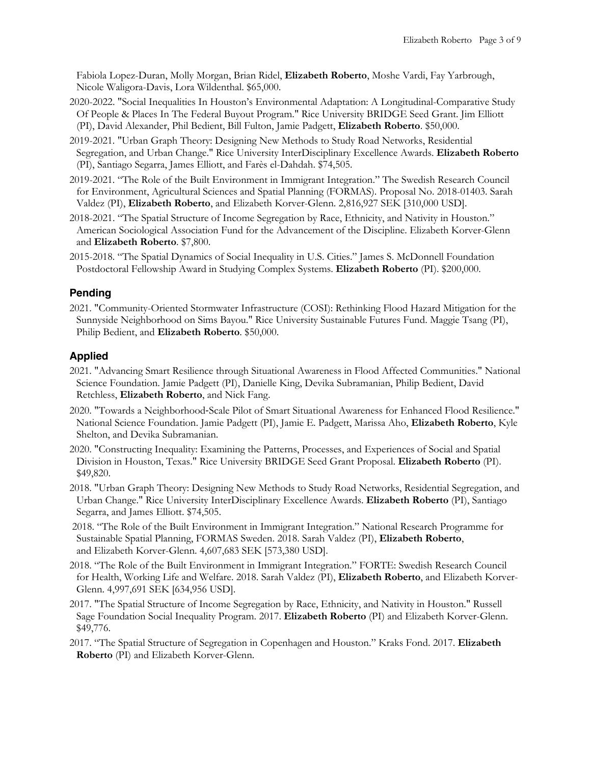Fabiola Lopez-Duran, Molly Morgan, Brian Ridel, **Elizabeth Roberto**, Moshe Vardi, Fay Yarbrough, Nicole Waligora-Davis, Lora Wildenthal. \$65,000.

- 2020-2022. "Social Inequalities In Houston's Environmental Adaptation: A Longitudinal-Comparative Study Of People & Places In The Federal Buyout Program." Rice University BRIDGE Seed Grant. Jim Elliott (PI), David Alexander, Phil Bedient, Bill Fulton, Jamie Padgett, **Elizabeth Roberto**. \$50,000.
- 2019-2021. "Urban Graph Theory: Designing New Methods to Study Road Networks, Residential Segregation, and Urban Change." Rice University InterDisciplinary Excellence Awards. **Elizabeth Roberto**  (PI), Santiago Segarra, James Elliott, and Farès el-Dahdah. \$74,505.
- for Environment, Agricultural Sciences and Spatial Planning (FORMAS). Proposal No. 2018-01403. Sarah Valdez (PI), **Elizabeth Roberto**, and Elizabeth Korver-Glenn. 2,816,927 SEK [310,000 USD]. 2019-2021. "The Role of the Built Environment in Immigrant Integration." The Swedish Research Council
- and **Elizabeth Roberto**. \$7,800. 2018-2021. "The Spatial Structure of Income Segregation by Race, Ethnicity, and Nativity in Houston." American Sociological Association Fund for the Advancement of the Discipline. Elizabeth Korver-Glenn
- 2015-2018. "The Spatial Dynamics of Social Inequality in U.S. Cities." James S. McDonnell Foundation Postdoctoral Fellowship Award in Studying Complex Systems. **Elizabeth Roberto** (PI). \$200,000.

### **Pending**

 2021. "Community-Oriented Stormwater Infrastructure (COSI): Rethinking Flood Hazard Mitigation for the Philip Bedient, and **Elizabeth Roberto**. \$50,000. Sunnyside Neighborhood on Sims Bayou." Rice University Sustainable Futures Fund. Maggie Tsang (PI),

### **Applied**

- 2021. "Advancing Smart Resilience through Situational Awareness in Flood Affected Communities." National Science Foundation. Jamie Padgett (PI), Danielle King, Devika Subramanian, Philip Bedient, David Retchless, **Elizabeth Roberto**, and Nick Fang.
- 2020. "Towards a Neighborhood-Scale Pilot of Smart Situational Awareness for Enhanced Flood Resilience." National Science Foundation. Jamie Padgett (PI), Jamie E. Padgett, Marissa Aho, **Elizabeth Roberto**, Kyle Shelton, and Devika Subramanian.
- Division in Houston, Texas." Rice University BRIDGE Seed Grant Proposal. **Elizabeth Roberto** (PI). 2020. "Constructing Inequality: Examining the Patterns, Processes, and Experiences of Social and Spatial \$49,820.
- 2018. "Urban Graph Theory: Designing New Methods to Study Road Networks, Residential Segregation, and Urban Change." Rice University InterDisciplinary Excellence Awards. **Elizabeth Roberto** (PI), Santiago Segarra, and James Elliott. \$74,505.
- 2018. "The Role of the Built Environment in Immigrant Integration." National Research Programme for Sustainable Spatial Planning, FORMAS Sweden. 2018. Sarah Valdez (PI), **Elizabeth Roberto**, and Elizabeth Korver-Glenn. 4,607,683 SEK [573,380 USD].
- 2018. "The Role of the Built Environment in Immigrant Integration." FORTE: Swedish Research Council Glenn. 4,997,691 SEK [634,956 USD]. for Health, Working Life and Welfare. 2018. Sarah Valdez (PI), **Elizabeth Roberto**, and Elizabeth Korver-
- Sage Foundation Social Inequality Program. 2017. **Elizabeth Roberto** (PI) and Elizabeth Korver-Glenn. 2017. "The Spatial Structure of Income Segregation by Race, Ethnicity, and Nativity in Houston." Russell \$49,776.
- 2017. "The Spatial Structure of Segregation in Copenhagen and Houston." Kraks Fond. 2017. **Elizabeth Roberto** (PI) and Elizabeth Korver-Glenn.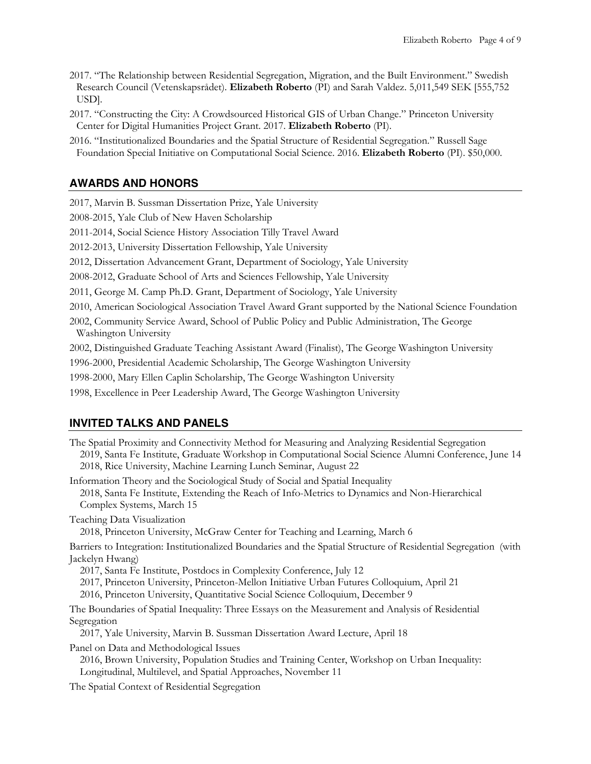- 2017. "The Relationship between Residential Segregation, Migration, and the Built Environment." Swedish Research Council (Vetenskapsrådet). **Elizabeth Roberto** (PI) and Sarah Valdez. 5,011,549 SEK [555,752 USD].
- 2017. "Constructing the City: A Crowdsourced Historical GIS of Urban Change." Princeton University Center for Digital Humanities Project Grant. 2017. **Elizabeth Roberto** (PI).
- 2016. "Institutionalized Boundaries and the Spatial Structure of Residential Segregation." Russell Sage Foundation Special Initiative on Computational Social Science. 2016. **Elizabeth Roberto** (PI). \$50,000.

## **AWARDS AND HONORS**

 2017, Marvin B. Sussman Dissertation Prize, Yale University 2008-2015, Yale Club of New Haven Scholarship

2011-2014, Social Science History Association Tilly Travel Award

2012-2013, University Dissertation Fellowship, Yale University

2012, Dissertation Advancement Grant, Department of Sociology, Yale University

2008-2012, Graduate School of Arts and Sciences Fellowship, Yale University

2011, George M. Camp Ph.D. Grant, Department of Sociology, Yale University

2010, American Sociological Association Travel Award Grant supported by the National Science Foundation

 2002, Community Service Award, School of Public Policy and Public Administration, The George Washington University

2002, Distinguished Graduate Teaching Assistant Award (Finalist), The George Washington University

1996-2000, Presidential Academic Scholarship, The George Washington University

1998-2000, Mary Ellen Caplin Scholarship, The George Washington University

1998, Excellence in Peer Leadership Award, The George Washington University

### **INVITED TALKS AND PANELS**

 The Spatial Proximity and Connectivity Method for Measuring and Analyzing Residential Segregation 2019, Santa Fe Institute, Graduate Workshop in Computational Social Science Alumni Conference, June 14 2018, Santa Fe Institute, Extending the Reach of Info-Metrics to Dynamics and Non-Hierarchical 2018, Princeton University, McGraw Center for Teaching and Learning, March 6 Barriers to Integration: Institutionalized Boundaries and the Spatial Structure of Residential Segregation (with 2017, Santa Fe Institute, Postdocs in Complexity Conference, July 12 2017, Princeton University, Princeton-Mellon Initiative Urban Futures Colloquium, April 21 2016, Princeton University, Quantitative Social Science Colloquium, December 9 The Boundaries of Spatial Inequality: Three Essays on the Measurement and Analysis of Residential 2017, Yale University, Marvin B. Sussman Dissertation Award Lecture, April 18 Panel on Data and Methodological Issues 2016, Brown University, Population Studies and Training Center, Workshop on Urban Inequality: Longitudinal, Multilevel, and Spatial Approaches, November 11 The Spatial Context of Residential Segregation 2018, Rice University, Machine Learning Lunch Seminar, August 22 Information Theory and the Sociological Study of Social and Spatial Inequality Complex Systems, March 15 Teaching Data Visualization Jackelyn Hwang) Segregation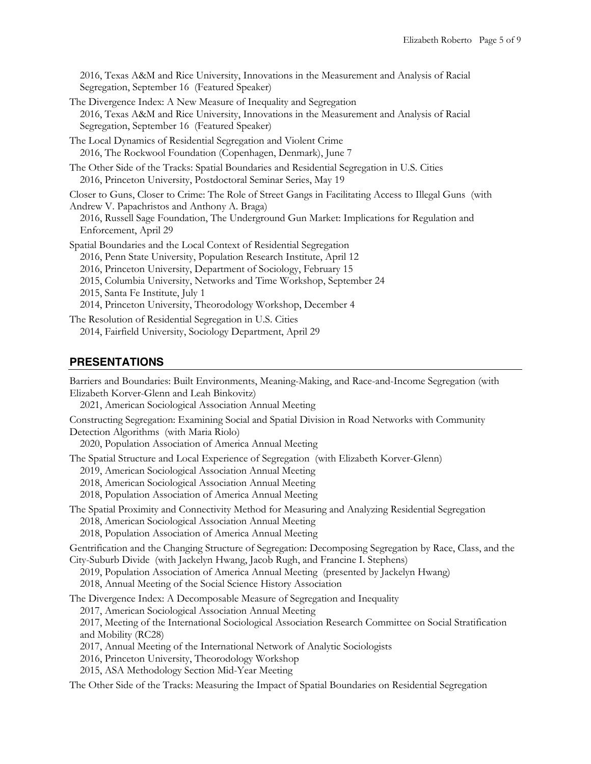2016, Texas A&M and Rice University, Innovations in the Measurement and Analysis of Racial Segregation, September 16 (Featured Speaker)

- The Divergence Index: A New Measure of Inequality and Segregation 2016, Texas A&M and Rice University, Innovations in the Measurement and Analysis of Racial Segregation, September 16 (Featured Speaker)
- The Local Dynamics of Residential Segregation and Violent Crime 2016, The Rockwool Foundation (Copenhagen, Denmark), June 7
- The Other Side of the Tracks: Spatial Boundaries and Residential Segregation in U.S. Cities 2016, Princeton University, Postdoctoral Seminar Series, May 19

 Closer to Guns, Closer to Crime: The Role of Street Gangs in Facilitating Access to Illegal Guns (with Andrew V. Papachristos and Anthony A. Braga)

 2016, Russell Sage Foundation, The Underground Gun Market: Implications for Regulation and Enforcement, April 29

Spatial Boundaries and the Local Context of Residential Segregation

2016, Penn State University, Population Research Institute, April 12

2016, Princeton University, Department of Sociology, February 15

- 2015, Columbia University, Networks and Time Workshop, September 24
- 2015, Santa Fe Institute, July 1
- 2014, Princeton University, Theorodology Workshop, December 4

The Resolution of Residential Segregation in U.S. Cities

2014, Fairfield University, Sociology Department, April 29

### **PRESENTATIONS**

 Barriers and Boundaries: Built Environments, Meaning-Making, and Race-and-Income Segregation (with Elizabeth Korver-Glenn and Leah Binkovitz)

2021, American Sociological Association Annual Meeting

 Constructing Segregation: Examining Social and Spatial Division in Road Networks with Community Detection Algorithms (with Maria Riolo)

2020, Population Association of America Annual Meeting

The Spatial Structure and Local Experience of Segregation (with Elizabeth Korver-Glenn)

2019, American Sociological Association Annual Meeting

2018, American Sociological Association Annual Meeting

2018, Population Association of America Annual Meeting

The Spatial Proximity and Connectivity Method for Measuring and Analyzing Residential Segregation 2018, American Sociological Association Annual Meeting

2018, Population Association of America Annual Meeting

 Gentrification and the Changing Structure of Segregation: Decomposing Segregation by Race, Class, and the City-Suburb Divide (with Jackelyn Hwang, Jacob Rugh, and Francine I. Stephens)

2019, Population Association of America Annual Meeting (presented by Jackelyn Hwang)

2018, Annual Meeting of the Social Science History Association

The Divergence Index: A Decomposable Measure of Segregation and Inequality

2017, American Sociological Association Annual Meeting

 2017, Meeting of the International Sociological Association Research Committee on Social Stratification and Mobility (RC28)

2017, Annual Meeting of the International Network of Analytic Sociologists

- 2016, Princeton University, Theorodology Workshop
- 2015, ASA Methodology Section Mid-Year Meeting

The Other Side of the Tracks: Measuring the Impact of Spatial Boundaries on Residential Segregation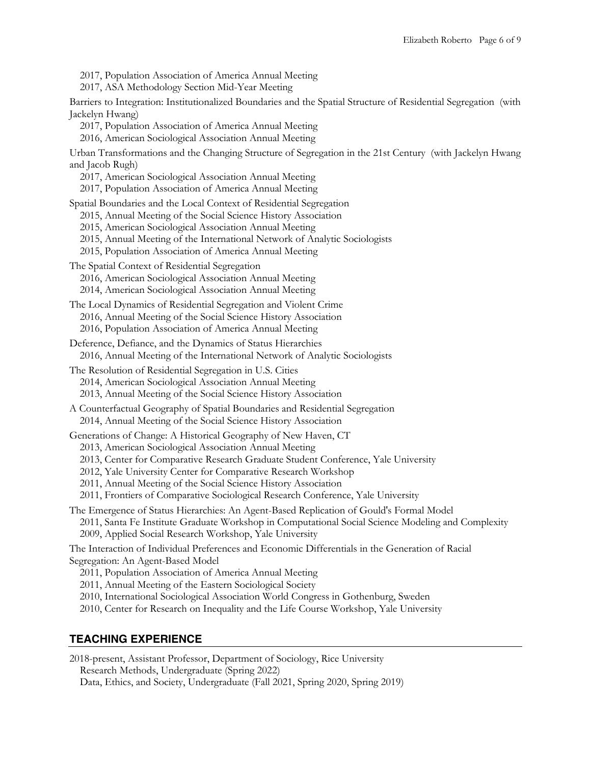- 2017, Population Association of America Annual Meeting
- 2017, ASA Methodology Section Mid-Year Meeting

 Barriers to Integration: Institutionalized Boundaries and the Spatial Structure of Residential Segregation (with Jackelyn Hwang)

- 2017, Population Association of America Annual Meeting
- 2016, American Sociological Association Annual Meeting

 Urban Transformations and the Changing Structure of Segregation in the 21st Century (with Jackelyn Hwang and Jacob Rugh)

- 2017, American Sociological Association Annual Meeting
- 2017, Population Association of America Annual Meeting

Spatial Boundaries and the Local Context of Residential Segregation

- 2015, Annual Meeting of the Social Science History Association
- 2015, American Sociological Association Annual Meeting
- 2015, Annual Meeting of the International Network of Analytic Sociologists
- 2015, Population Association of America Annual Meeting
- The Spatial Context of Residential Segregation
	- 2016, American Sociological Association Annual Meeting
	- 2014, American Sociological Association Annual Meeting

 The Local Dynamics of Residential Segregation and Violent Crime 2016, Annual Meeting of the Social Science History Association 2016, Population Association of America Annual Meeting

 Deference, Defiance, and the Dynamics of Status Hierarchies 2016, Annual Meeting of the International Network of Analytic Sociologists

 The Resolution of Residential Segregation in U.S. Cities 2013, Annual Meeting of the Social Science History Association 2014, American Sociological Association Annual Meeting

 A Counterfactual Geography of Spatial Boundaries and Residential Segregation 2014, Annual Meeting of the Social Science History Association

Generations of Change: A Historical Geography of New Haven, CT

- 2013, American Sociological Association Annual Meeting
- 2013, Center for Comparative Research Graduate Student Conference, Yale University
- 2012, Yale University Center for Comparative Research Workshop
- 2011, Annual Meeting of the Social Science History Association

2011, Frontiers of Comparative Sociological Research Conference, Yale University

 The Emergence of Status Hierarchies: An Agent-Based Replication of Gould's Formal Model 2011, Santa Fe Institute Graduate Workshop in Computational Social Science Modeling and Complexity 2009, Applied Social Research Workshop, Yale University

 The Interaction of Individual Preferences and Economic Differentials in the Generation of Racial Segregation: An Agent-Based Model

2011, Population Association of America Annual Meeting

- 2011, Annual Meeting of the Eastern Sociological Society
- 2010, International Sociological Association World Congress in Gothenburg, Sweden
- 2010, Center for Research on Inequality and the Life Course Workshop, Yale University

### **TEACHING EXPERIENCE**

 Data, Ethics, and Society, Undergraduate (Fall 2021, Spring 2020, Spring 2019) 2018-present, Assistant Professor, Department of Sociology, Rice University Research Methods, Undergraduate (Spring 2022)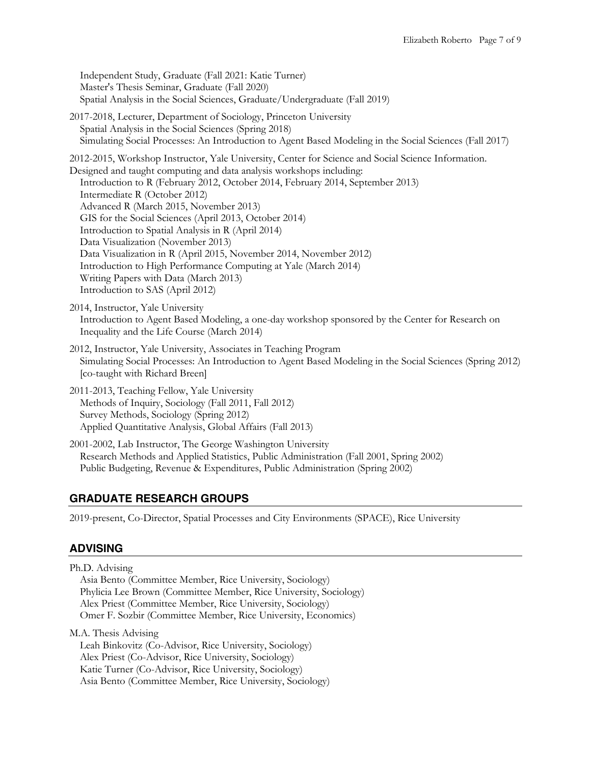Independent Study, Graduate (Fall 2021: Katie Turner) Master's Thesis Seminar, Graduate (Fall 2020) 2017-2018, Lecturer, Department of Sociology, Princeton University Spatial Analysis in the Social Sciences (Spring 2018) Simulating Social Processes: An Introduction to Agent Based Modeling in the Social Sciences (Fall 2017) 2012-2015, Workshop Instructor, Yale University, Center for Science and Social Science Information. Advanced R (March 2015, November 2013) GIS for the Social Sciences (April 2013, October 2014) Data Visualization (November 2013) Data Visualization in R (April 2015, November 2014, November 2012) Writing Papers with Data (March 2013) 2014, Instructor, Yale University Introduction to Agent Based Modeling, a one-day workshop sponsored by the Center for Research on 2012, Instructor, Yale University, Associates in Teaching Program Spatial Analysis in the Social Sciences, Graduate/Undergraduate (Fall 2019) Designed and taught computing and data analysis workshops including: Introduction to R (February 2012, October 2014, February 2014, September 2013) Intermediate R (October 2012) Introduction to Spatial Analysis in R (April 2014) Introduction to High Performance Computing at Yale (March 2014) Introduction to SAS (April 2012) Inequality and the Life Course (March 2014)

- Simulating Social Processes: An Introduction to Agent Based Modeling in the Social Sciences (Spring 2012) [co-taught with Richard Breen]
- Methods of Inquiry, Sociology (Fall 2011, Fall 2012) Applied Quantitative Analysis, Global Affairs (Fall 2013) 2011-2013, Teaching Fellow, Yale University Survey Methods, Sociology (Spring 2012)
- Research Methods and Applied Statistics, Public Administration (Fall 2001, Spring 2002) Public Budgeting, Revenue & Expenditures, Public Administration (Spring 2002) 2001-2002, Lab Instructor, The George Washington University

# **GRADUATE RESEARCH GROUPS**

2019-present, Co-Director, Spatial Processes and City Environments (SPACE), Rice University

# **ADVISING**

 Ph.D. Advising Asia Bento (Committee Member, Rice University, Sociology) Phylicia Lee Brown (Committee Member, Rice University, Sociology) Alex Priest (Committee Member, Rice University, Sociology) Omer F. Sozbir (Committee Member, Rice University, Economics) M.A. Thesis Advising

 Alex Priest (Co-Advisor, Rice University, Sociology) Katie Turner (Co-Advisor, Rice University, Sociology) Asia Bento (Committee Member, Rice University, Sociology) Leah Binkovitz (Co-Advisor, Rice University, Sociology)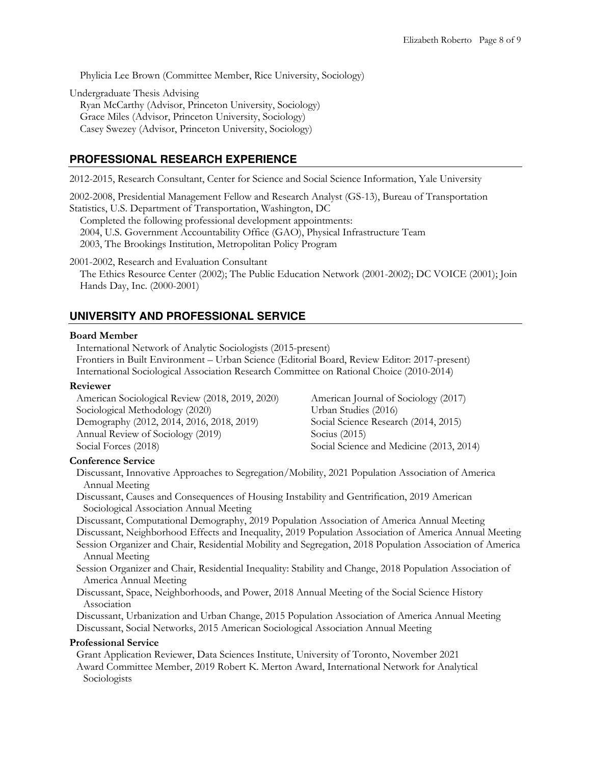Phylicia Lee Brown (Committee Member, Rice University, Sociology)

Undergraduate Thesis Advising

 Grace Miles (Advisor, Princeton University, Sociology) Ryan McCarthy (Advisor, Princeton University, Sociology) Casey Swezey (Advisor, Princeton University, Sociology)

### **PROFESSIONAL RESEARCH EXPERIENCE**

2012-2015, Research Consultant, Center for Science and Social Science Information, Yale University

 2002-2008, Presidential Management Fellow and Research Analyst (GS-13), Bureau of Transportation Statistics, U.S. Department of Transportation, Washington, DC

 2004, U.S. Government Accountability Office (GAO), Physical Infrastructure Team 2003, The Brookings Institution, Metropolitan Policy Program Completed the following professional development appointments:

 The Ethics Resource Center (2002); The Public Education Network (2001-2002); DC VOICE (2001); Join Hands Day, Inc. (2000-2001) 2001-2002, Research and Evaluation Consultant

### **UNIVERSITY AND PROFESSIONAL SERVICE**

#### **Board Member**

 International Network of Analytic Sociologists (2015-present) Frontiers in Built Environment – Urban Science (Editorial Board, Review Editor: 2017-present) International Sociological Association Research Committee on Rational Choice (2010-2014)

#### **Reviewer**

 American Sociological Review (2018, 2019, 2020) American Journal of Sociology (2017) Demography (2012, 2014, 2016, 2018, 2019) Social Science Research (2014, 2015) Annual Review of Sociology (2019) Socius (2015) Sociological Methodology (2020) Social Forces (2018) Social Science and Medicine (2013, 2014)

American Journal of Sociology (2017) Urban Studies (2016)

### **Conference Service**

 Discussant, Innovative Approaches to Segregation/Mobility, 2021 Population Association of America Annual Meeting

Sociological Association Annual Meeting Discussant, Causes and Consequences of Housing Instability and Gentrification, 2019 American

Sociological Association Annual Meeting Discussant, Computational Demography, 2019 Population Association of America Annual Meeting

Discussant, Neighborhood Effects and Inequality, 2019 Population Association of America Annual Meeting

- Session Organizer and Chair, Residential Mobility and Segregation, 2018 Population Association of America Annual Meeting
- Session Organizer and Chair, Residential Inequality: Stability and Change, 2018 Population Association of America Annual Meeting
- Discussant, Space, Neighborhoods, and Power, 2018 Annual Meeting of the Social Science History Association

Association<br>Discussant, Urbanization and Urban Change, 2015 Population Association of America Annual Meeting Discussant, Social Networks, 2015 American Sociological Association Annual Meeting

### **Professional Service**

 Grant Application Reviewer, Data Sciences Institute, University of Toronto, November 2021 Award Committee Member, 2019 Robert K. Merton Award, International Network for Analytical Sociologists